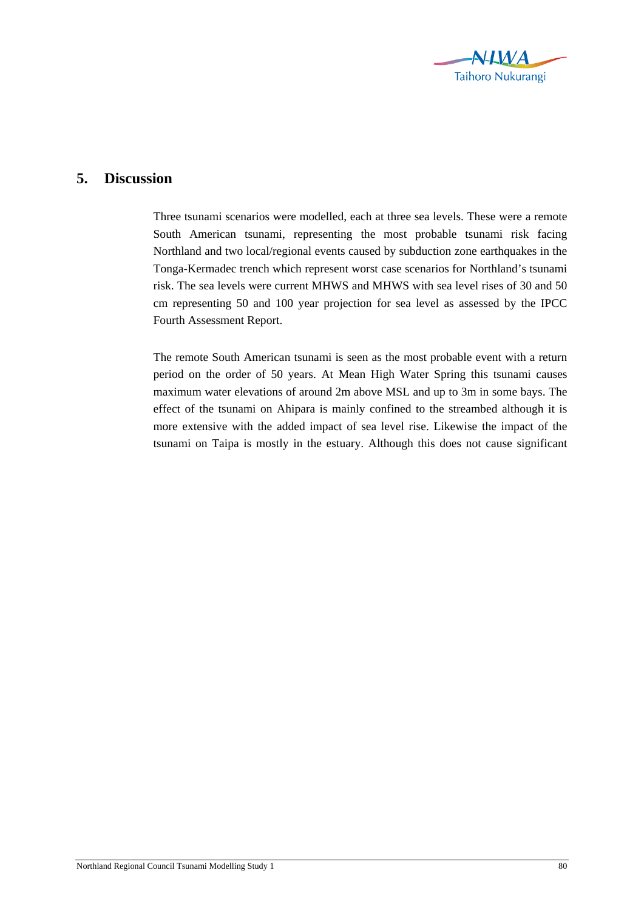

## **5. Discussion**

Three tsunami scenarios were modelled, each at three sea levels. These were a remote South American tsunami, representing the most probable tsunami risk facing Northland and two local/regional events caused by subduction zone earthquakes in the Tonga-Kermadec trench which represent worst case scenarios for Northland's tsunami risk. The sea levels were current MHWS and MHWS with sea level rises of 30 and 50 cm representing 50 and 100 year projection for sea level as assessed by the IPCC Fourth Assessment Report.

The remote South American tsunami is seen as the most probable event with a return period on the order of 50 years. At Mean High Water Spring this tsunami causes maximum water elevations of around 2m above MSL and up to 3m in some bays. The effect of the tsunami on Ahipara is mainly confined to the streambed although it is more extensive with the added impact of sea level rise. Likewise the impact of the tsunami on Taipa is mostly in the estuary. Although this does not cause significant